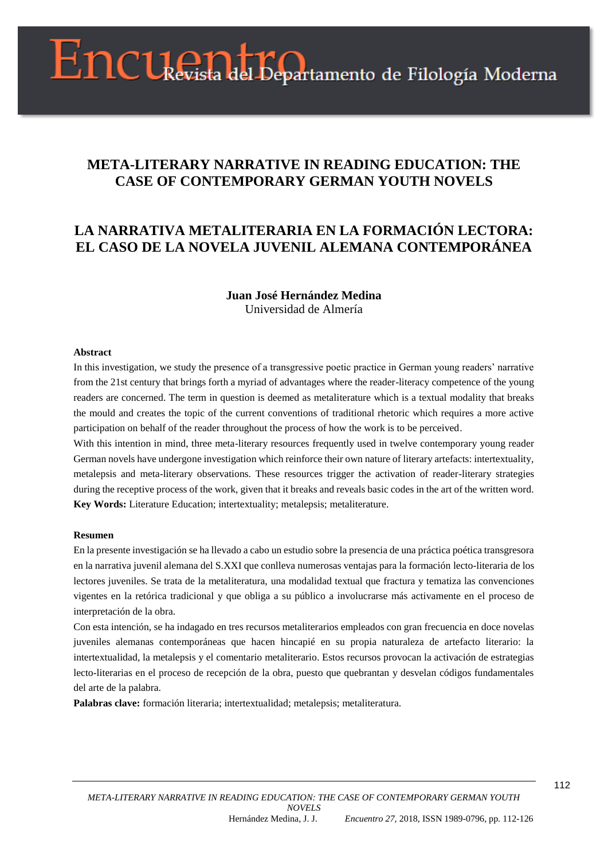# Encuenta del Departamento de Filología Moderna

# **META-LITERARY NARRATIVE IN READING EDUCATION: THE CASE OF CONTEMPORARY GERMAN YOUTH NOVELS**

# **LA NARRATIVA METALITERARIA EN LA FORMACIÓN LECTORA: EL CASO DE LA NOVELA JUVENIL ALEMANA CONTEMPORÁNEA**

# **Juan José Hernández Medina** Universidad de Almería

#### **Abstract**

In this investigation, we study the presence of a transgressive poetic practice in German young readers' narrative from the 21st century that brings forth a myriad of advantages where the reader-literacy competence of the young readers are concerned. The term in question is deemed as metaliterature which is a textual modality that breaks the mould and creates the topic of the current conventions of traditional rhetoric which requires a more active participation on behalf of the reader throughout the process of how the work is to be perceived.

With this intention in mind, three meta-literary resources frequently used in twelve contemporary young reader German novels have undergone investigation which reinforce their own nature of literary artefacts: intertextuality, metalepsis and meta-literary observations. These resources trigger the activation of reader-literary strategies during the receptive process of the work, given that it breaks and reveals basic codes in the art of the written word. **Key Words:** Literature Education; intertextuality; metalepsis; metaliterature.

#### **Resumen**

En la presente investigación se ha llevado a cabo un estudio sobre la presencia de una práctica poética transgresora en la narrativa juvenil alemana del S.XXI que conlleva numerosas ventajas para la formación lecto-literaria de los lectores juveniles. Se trata de la metaliteratura, una modalidad textual que fractura y tematiza las convenciones vigentes en la retórica tradicional y que obliga a su público a involucrarse más activamente en el proceso de interpretación de la obra.

Con esta intención, se ha indagado en tres recursos metaliterarios empleados con gran frecuencia en doce novelas juveniles alemanas contemporáneas que hacen hincapié en su propia naturaleza de artefacto literario: la intertextualidad, la metalepsis y el comentario metaliterario. Estos recursos provocan la activación de estrategias lecto-literarias en el proceso de recepción de la obra, puesto que quebrantan y desvelan códigos fundamentales del arte de la palabra.

**Palabras clave:** formación literaria; intertextualidad; metalepsis; metaliteratura.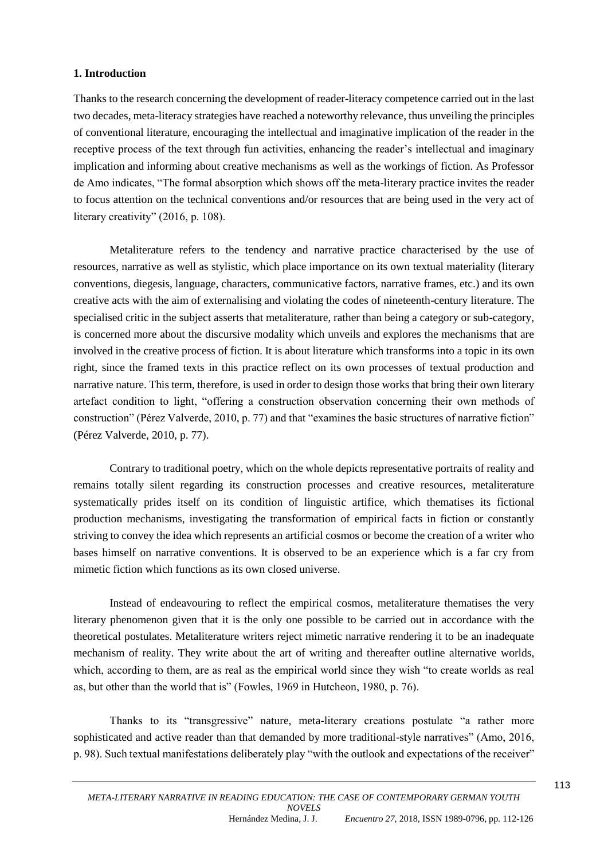# **1. Introduction**

Thanks to the research concerning the development of reader-literacy competence carried out in the last two decades, meta-literacy strategies have reached a noteworthy relevance, thus unveiling the principles of conventional literature, encouraging the intellectual and imaginative implication of the reader in the receptive process of the text through fun activities, enhancing the reader's intellectual and imaginary implication and informing about creative mechanisms as well as the workings of fiction. As Professor de Amo indicates, "The formal absorption which shows off the meta-literary practice invites the reader to focus attention on the technical conventions and/or resources that are being used in the very act of literary creativity" (2016, p. 108).

Metaliterature refers to the tendency and narrative practice characterised by the use of resources, narrative as well as stylistic, which place importance on its own textual materiality (literary conventions, diegesis, language, characters, communicative factors, narrative frames, etc.) and its own creative acts with the aim of externalising and violating the codes of nineteenth-century literature. The specialised critic in the subject asserts that metaliterature, rather than being a category or sub-category, is concerned more about the discursive modality which unveils and explores the mechanisms that are involved in the creative process of fiction. It is about literature which transforms into a topic in its own right, since the framed texts in this practice reflect on its own processes of textual production and narrative nature. This term, therefore, is used in order to design those works that bring their own literary artefact condition to light, "offering a construction observation concerning their own methods of construction" (Pérez Valverde, 2010, p. 77) and that "examines the basic structures of narrative fiction" (Pérez Valverde, 2010, p. 77).

Contrary to traditional poetry, which on the whole depicts representative portraits of reality and remains totally silent regarding its construction processes and creative resources, metaliterature systematically prides itself on its condition of linguistic artifice, which thematises its fictional production mechanisms, investigating the transformation of empirical facts in fiction or constantly striving to convey the idea which represents an artificial cosmos or become the creation of a writer who bases himself on narrative conventions. It is observed to be an experience which is a far cry from mimetic fiction which functions as its own closed universe.

Instead of endeavouring to reflect the empirical cosmos, metaliterature thematises the very literary phenomenon given that it is the only one possible to be carried out in accordance with the theoretical postulates. Metaliterature writers reject mimetic narrative rendering it to be an inadequate mechanism of reality. They write about the art of writing and thereafter outline alternative worlds, which, according to them, are as real as the empirical world since they wish "to create worlds as real as, but other than the world that is" (Fowles, 1969 in Hutcheon, 1980, p. 76).

Thanks to its "transgressive" nature, meta-literary creations postulate "a rather more sophisticated and active reader than that demanded by more traditional-style narratives" (Amo, 2016, p. 98). Such textual manifestations deliberately play "with the outlook and expectations of the receiver"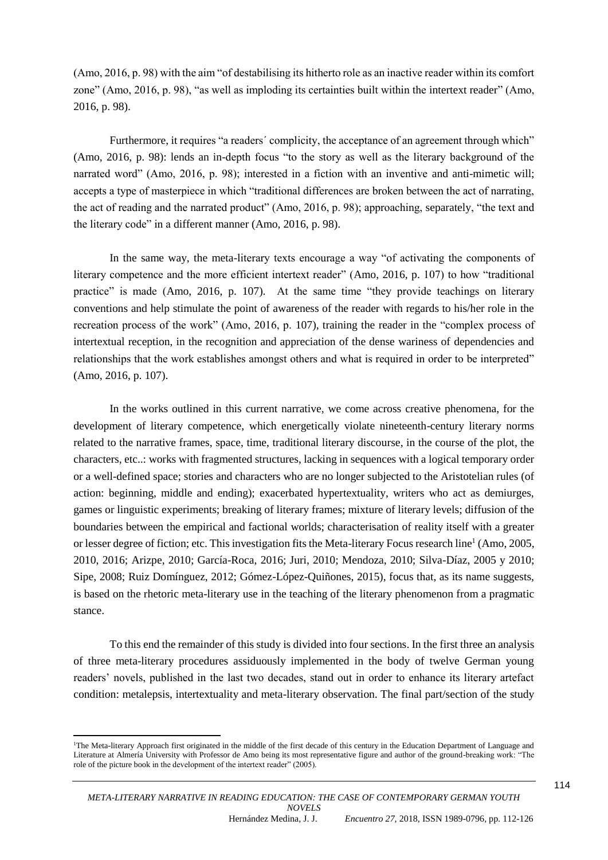(Amo, 2016, p. 98) with the aim "of destabilising its hitherto role as an inactive reader within its comfort zone" (Amo, 2016, p. 98), "as well as imploding its certainties built within the intertext reader" (Amo, 2016, p. 98).

Furthermore, it requires "a readers´ complicity, the acceptance of an agreement through which" (Amo, 2016, p. 98): lends an in-depth focus "to the story as well as the literary background of the narrated word" (Amo, 2016, p. 98); interested in a fiction with an inventive and anti-mimetic will; accepts a type of masterpiece in which "traditional differences are broken between the act of narrating, the act of reading and the narrated product" (Amo, 2016, p. 98); approaching, separately, "the text and the literary code" in a different manner (Amo, 2016, p. 98).

In the same way, the meta-literary texts encourage a way "of activating the components of literary competence and the more efficient intertext reader" (Amo, 2016, p. 107) to how "traditional practice" is made (Amo, 2016, p. 107). At the same time "they provide teachings on literary conventions and help stimulate the point of awareness of the reader with regards to his/her role in the recreation process of the work" (Amo, 2016, p. 107), training the reader in the "complex process of intertextual reception, in the recognition and appreciation of the dense wariness of dependencies and relationships that the work establishes amongst others and what is required in order to be interpreted" (Amo, 2016, p. 107).

In the works outlined in this current narrative, we come across creative phenomena, for the development of literary competence, which energetically violate nineteenth-century literary norms related to the narrative frames, space, time, traditional literary discourse, in the course of the plot, the characters, etc..: works with fragmented structures, lacking in sequences with a logical temporary order or a well-defined space; stories and characters who are no longer subjected to the Aristotelian rules (of action: beginning, middle and ending); exacerbated hypertextuality, writers who act as demiurges, games or linguistic experiments; breaking of literary frames; mixture of literary levels; diffusion of the boundaries between the empirical and factional worlds; characterisation of reality itself with a greater or lesser degree of fiction; etc. This investigation fits the Meta-literary Focus research line<sup>1</sup> (Amo, 2005, 2010, 2016; Arizpe, 2010; García-Roca, 2016; Juri, 2010; Mendoza, 2010; Silva-Díaz, 2005 y 2010; Sipe, 2008; Ruiz Domínguez, 2012; Gómez-López-Quiñones, 2015), focus that, as its name suggests, is based on the rhetoric meta-literary use in the teaching of the literary phenomenon from a pragmatic stance.

To this end the remainder of this study is divided into four sections. In the first three an analysis of three meta-literary procedures assiduously implemented in the body of twelve German young readers' novels, published in the last two decades, stand out in order to enhance its literary artefact condition: metalepsis, intertextuality and meta-literary observation. The final part/section of the study

**.** 

<sup>&</sup>lt;sup>1</sup>The Meta-literary Approach first originated in the middle of the first decade of this century in the Education Department of Language and Literature at Almería University with Professor de Amo being its most representative figure and author of the ground-breaking work: "The role of the picture book in the development of the intertext reader" (2005).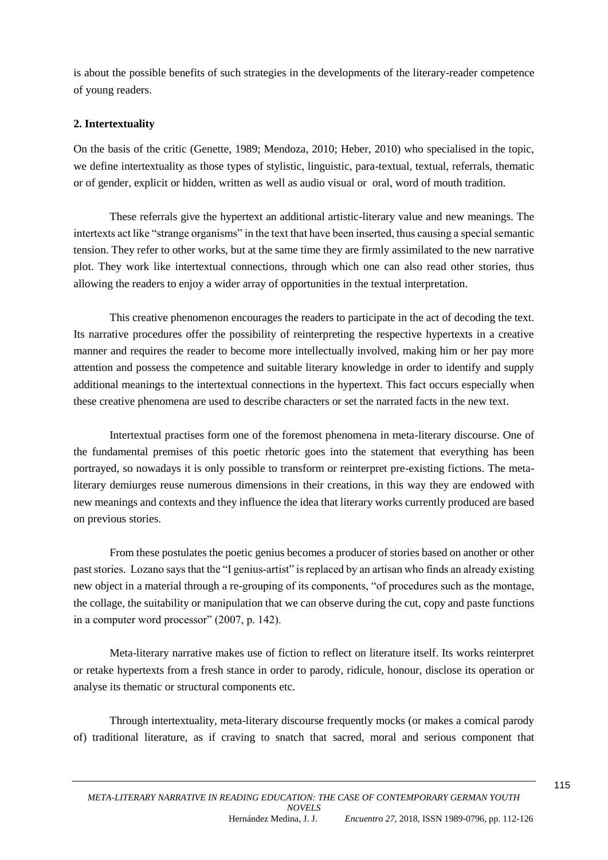is about the possible benefits of such strategies in the developments of the literary-reader competence of young readers.

# **2. Intertextuality**

On the basis of the critic (Genette, 1989; Mendoza, 2010; Heber, 2010) who specialised in the topic, we define intertextuality as those types of stylistic, linguistic, para-textual, textual, referrals, thematic or of gender, explicit or hidden, written as well as audio visual or oral, word of mouth tradition.

These referrals give the hypertext an additional artistic-literary value and new meanings. The intertexts act like "strange organisms" in the text that have been inserted, thus causing a special semantic tension. They refer to other works, but at the same time they are firmly assimilated to the new narrative plot. They work like intertextual connections, through which one can also read other stories, thus allowing the readers to enjoy a wider array of opportunities in the textual interpretation.

This creative phenomenon encourages the readers to participate in the act of decoding the text. Its narrative procedures offer the possibility of reinterpreting the respective hypertexts in a creative manner and requires the reader to become more intellectually involved, making him or her pay more attention and possess the competence and suitable literary knowledge in order to identify and supply additional meanings to the intertextual connections in the hypertext. This fact occurs especially when these creative phenomena are used to describe characters or set the narrated facts in the new text.

Intertextual practises form one of the foremost phenomena in meta-literary discourse. One of the fundamental premises of this poetic rhetoric goes into the statement that everything has been portrayed, so nowadays it is only possible to transform or reinterpret pre-existing fictions. The metaliterary demiurges reuse numerous dimensions in their creations, in this way they are endowed with new meanings and contexts and they influence the idea that literary works currently produced are based on previous stories.

From these postulates the poetic genius becomes a producer of stories based on another or other past stories. Lozano says that the "I genius-artist" is replaced by an artisan who finds an already existing new object in a material through a re-grouping of its components, "of procedures such as the montage, the collage, the suitability or manipulation that we can observe during the cut, copy and paste functions in a computer word processor" (2007, p. 142).

Meta-literary narrative makes use of fiction to reflect on literature itself. Its works reinterpret or retake hypertexts from a fresh stance in order to parody, ridicule, honour, disclose its operation or analyse its thematic or structural components etc.

Through intertextuality, meta-literary discourse frequently mocks (or makes a comical parody of) traditional literature, as if craving to snatch that sacred, moral and serious component that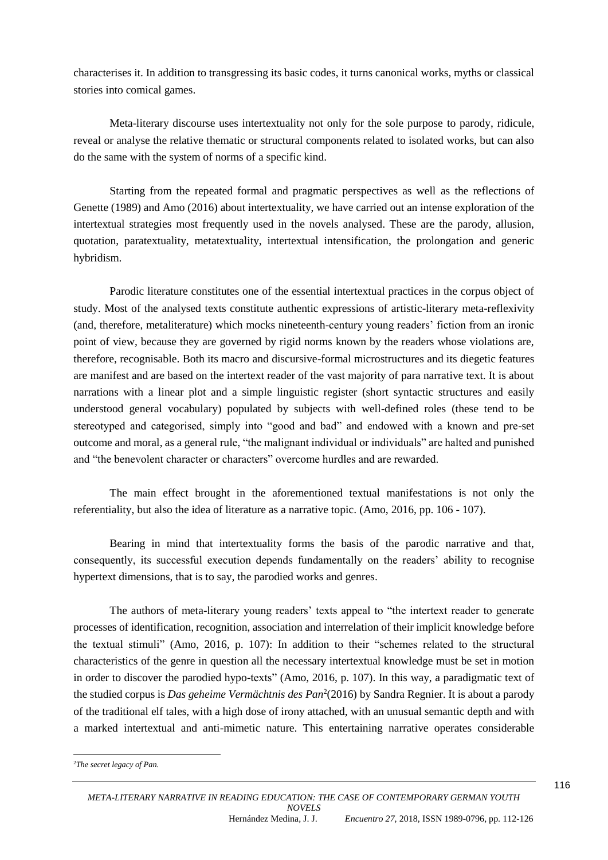characterises it. In addition to transgressing its basic codes, it turns canonical works, myths or classical stories into comical games.

Meta-literary discourse uses intertextuality not only for the sole purpose to parody, ridicule, reveal or analyse the relative thematic or structural components related to isolated works, but can also do the same with the system of norms of a specific kind.

Starting from the repeated formal and pragmatic perspectives as well as the reflections of Genette (1989) and Amo (2016) about intertextuality, we have carried out an intense exploration of the intertextual strategies most frequently used in the novels analysed. These are the parody, allusion, quotation, paratextuality, metatextuality, intertextual intensification, the prolongation and generic hybridism.

Parodic literature constitutes one of the essential intertextual practices in the corpus object of study. Most of the analysed texts constitute authentic expressions of artistic-literary meta-reflexivity (and, therefore, metaliterature) which mocks nineteenth-century young readers' fiction from an ironic point of view, because they are governed by rigid norms known by the readers whose violations are, therefore, recognisable. Both its macro and discursive-formal microstructures and its diegetic features are manifest and are based on the intertext reader of the vast majority of para narrative text. It is about narrations with a linear plot and a simple linguistic register (short syntactic structures and easily understood general vocabulary) populated by subjects with well-defined roles (these tend to be stereotyped and categorised, simply into "good and bad" and endowed with a known and pre-set outcome and moral, as a general rule, "the malignant individual or individuals" are halted and punished and "the benevolent character or characters" overcome hurdles and are rewarded.

The main effect brought in the aforementioned textual manifestations is not only the referentiality, but also the idea of literature as a narrative topic. (Amo, 2016, pp. 106 - 107).

Bearing in mind that intertextuality forms the basis of the parodic narrative and that, consequently, its successful execution depends fundamentally on the readers' ability to recognise hypertext dimensions, that is to say, the parodied works and genres.

The authors of meta-literary young readers' texts appeal to "the intertext reader to generate processes of identification, recognition, association and interrelation of their implicit knowledge before the textual stimuli" (Amo, 2016, p. 107): In addition to their "schemes related to the structural characteristics of the genre in question all the necessary intertextual knowledge must be set in motion in order to discover the parodied hypo-texts" (Amo, 2016, p. 107). In this way, a paradigmatic text of the studied corpus is *Das geheime Vermächtnis des Pan*<sup>2</sup> (2016) by Sandra Regnier. It is about a parody of the traditional elf tales, with a high dose of irony attached, with an unusual semantic depth and with a marked intertextual and anti-mimetic nature. This entertaining narrative operates considerable

**.** 

<sup>2</sup>*The secret legacy of Pan.*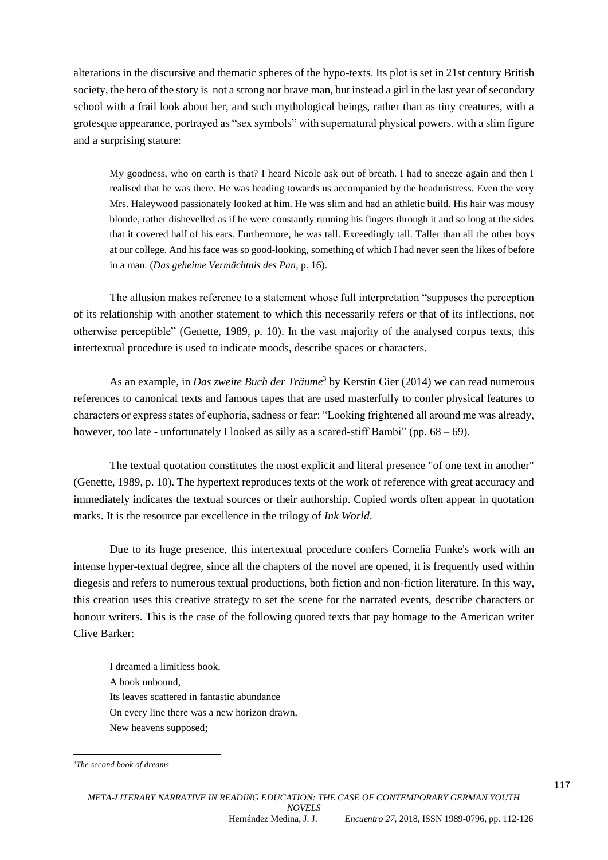alterations in the discursive and thematic spheres of the hypo-texts. Its plot is set in 21st century British society, the hero of the story is not a strong nor brave man, but instead a girl in the last year of secondary school with a frail look about her, and such mythological beings, rather than as tiny creatures, with a grotesque appearance, portrayed as "sex symbols" with supernatural physical powers, with a slim figure and a surprising stature:

My goodness, who on earth is that? I heard Nicole ask out of breath. I had to sneeze again and then I realised that he was there. He was heading towards us accompanied by the headmistress. Even the very Mrs. Haleywood passionately looked at him. He was slim and had an athletic build. His hair was mousy blonde, rather dishevelled as if he were constantly running his fingers through it and so long at the sides that it covered half of his ears. Furthermore, he was tall. Exceedingly tall. Taller than all the other boys at our college. And his face was so good-looking, something of which I had never seen the likes of before in a man. (*Das geheime Vermächtnis des Pan*, p. 16).

The allusion makes reference to a statement whose full interpretation "supposes the perception of its relationship with another statement to which this necessarily refers or that of its inflections, not otherwise perceptible" (Genette, 1989, p. 10). In the vast majority of the analysed corpus texts, this intertextual procedure is used to indicate moods, describe spaces or characters.

As an example, in *Das zweite Buch der Träume*<sup>3</sup> by Kerstin Gier (2014) we can read numerous references to canonical texts and famous tapes that are used masterfully to confer physical features to characters or express states of euphoria, sadness or fear: "Looking frightened all around me was already, however, too late - unfortunately I looked as silly as a scared-stiff Bambi" (pp.  $68 - 69$ ).

The textual quotation constitutes the most explicit and literal presence "of one text in another" (Genette, 1989, p. 10). The hypertext reproduces texts of the work of reference with great accuracy and immediately indicates the textual sources or their authorship. Copied words often appear in quotation marks. It is the resource par excellence in the trilogy of *Ink World*.

Due to its huge presence, this intertextual procedure confers Cornelia Funke's work with an intense hyper-textual degree, since all the chapters of the novel are opened, it is frequently used within diegesis and refers to numerous textual productions, both fiction and non-fiction literature. In this way, this creation uses this creative strategy to set the scene for the narrated events, describe characters or honour writers. This is the case of the following quoted texts that pay homage to the American writer Clive Barker:

I dreamed a limitless book, A book unbound, Its leaves scattered in fantastic abundance On every line there was a new horizon drawn, New heavens supposed;

**<sup>.</sup>** 3*The second book of dreams*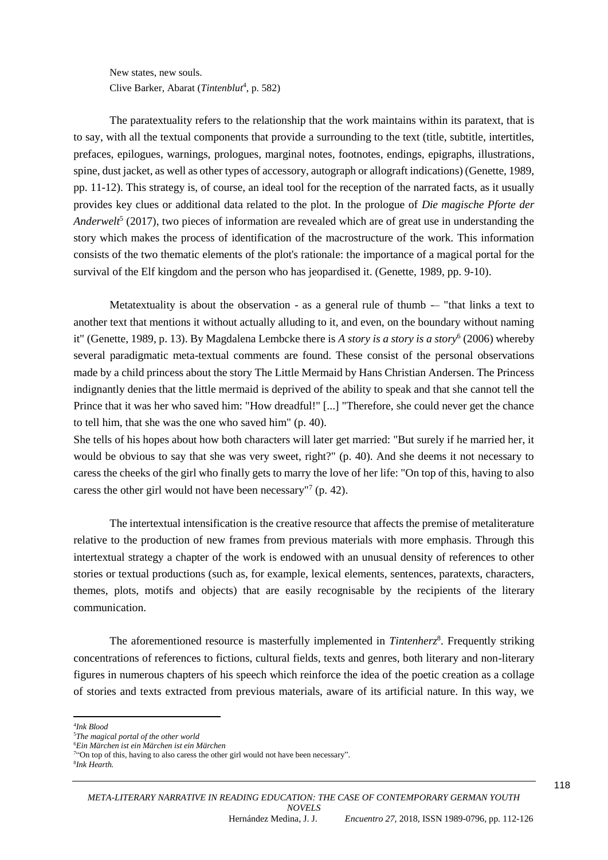New states, new souls. Clive Barker, Abarat (Tintenblut<sup>4</sup>, p. 582)

The paratextuality refers to the relationship that the work maintains within its paratext, that is to say, with all the textual components that provide a surrounding to the text (title, subtitle, intertitles, prefaces, epilogues, warnings, prologues, marginal notes, footnotes, endings, epigraphs, illustrations, spine, dust jacket, as well as other types of accessory, autograph or allograft indications) (Genette, 1989, pp. 11-12). This strategy is, of course, an ideal tool for the reception of the narrated facts, as it usually provides key clues or additional data related to the plot. In the prologue of *Die magische Pforte der*  Anderwelt<sup>5</sup> (2017), two pieces of information are revealed which are of great use in understanding the story which makes the process of identification of the macrostructure of the work. This information consists of the two thematic elements of the plot's rationale: the importance of a magical portal for the survival of the Elf kingdom and the person who has jeopardised it. (Genette, 1989, pp. 9-10).

Metatextuality is about the observation - as a general rule of thumb  $-$  "that links a text to another text that mentions it without actually alluding to it, and even, on the boundary without naming it" (Genette, 1989, p. 13). By Magdalena Lembcke there is *A story is a story is a story*<sup>6</sup> (2006) whereby several paradigmatic meta-textual comments are found. These consist of the personal observations made by a child princess about the story The Little Mermaid by Hans Christian Andersen. The Princess indignantly denies that the little mermaid is deprived of the ability to speak and that she cannot tell the Prince that it was her who saved him: "How dreadful!" [...] "Therefore, she could never get the chance to tell him, that she was the one who saved him" (p. 40).

She tells of his hopes about how both characters will later get married: "But surely if he married her, it would be obvious to say that she was very sweet, right?" (p. 40). And she deems it not necessary to caress the cheeks of the girl who finally gets to marry the love of her life: "On top of this, having to also caress the other girl would not have been necessary"<sup>7</sup> (p. 42).

The intertextual intensification is the creative resource that affects the premise of metaliterature relative to the production of new frames from previous materials with more emphasis. Through this intertextual strategy a chapter of the work is endowed with an unusual density of references to other stories or textual productions (such as, for example, lexical elements, sentences, paratexts, characters, themes, plots, motifs and objects) that are easily recognisable by the recipients of the literary communication.

The aforementioned resource is masterfully implemented in *Tintenherz*<sup>8</sup>. Frequently striking concentrations of references to fictions, cultural fields, texts and genres, both literary and non-literary figures in numerous chapters of his speech which reinforce the idea of the poetic creation as a collage of stories and texts extracted from previous materials, aware of its artificial nature. In this way, we

**.** 

<sup>4</sup> *Ink Blood*

<sup>5</sup>*The magical portal of the other world*

<sup>6</sup>*Ein Märchen ist ein Märchen ist ein Märchen*

<sup>&</sup>lt;sup>7</sup>"On top of this, having to also caress the other girl would not have been necessary". 8 *Ink Hearth.*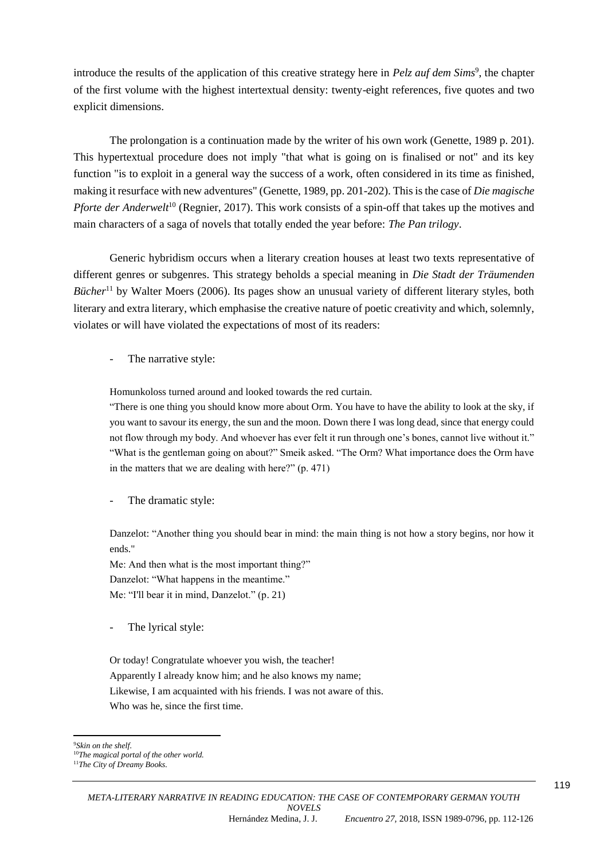introduce the results of the application of this creative strategy here in *Pelz auf dem Sims<sup>9</sup>*, the chapter of the first volume with the highest intertextual density: twenty-eight references, five quotes and two explicit dimensions.

The prolongation is a continuation made by the writer of his own work (Genette, 1989 p. 201). This hypertextual procedure does not imply "that what is going on is finalised or not" and its key function "is to exploit in a general way the success of a work, often considered in its time as finished, making it resurface with new adventures" (Genette, 1989, pp. 201-202). This is the case of *Die magische Pforte der Anderwelt*<sup>10</sup> (Regnier, 2017). This work consists of a spin-off that takes up the motives and main characters of a saga of novels that totally ended the year before: *The Pan trilogy*.

Generic hybridism occurs when a literary creation houses at least two texts representative of different genres or subgenres. This strategy beholds a special meaning in *Die Stadt der Träumenden Bücher*<sup>11</sup> by Walter Moers (2006). Its pages show an unusual variety of different literary styles, both literary and extra literary, which emphasise the creative nature of poetic creativity and which, solemnly, violates or will have violated the expectations of most of its readers:

The narrative style:

Homunkoloss turned around and looked towards the red curtain.

"There is one thing you should know more about Orm. You have to have the ability to look at the sky, if you want to savour its energy, the sun and the moon. Down there I was long dead, since that energy could not flow through my body. And whoever has ever felt it run through one's bones, cannot live without it." "What is the gentleman going on about?" Smeik asked. "The Orm? What importance does the Orm have in the matters that we are dealing with here?" (p. 471)

The dramatic style:

Danzelot: "Another thing you should bear in mind: the main thing is not how a story begins, nor how it ends."

Me: And then what is the most important thing?" Danzelot: "What happens in the meantime." Me: "I'll bear it in mind, Danzelot." (p. 21)

The lyrical style:

Or today! Congratulate whoever you wish, the teacher! Apparently I already know him; and he also knows my name; Likewise, I am acquainted with his friends. I was not aware of this. Who was he, since the first time.

**.** <sup>9</sup>*Skin on the shelf.*

<sup>10</sup>*The magical portal of the other world.*

<sup>11</sup>*The City of Dreamy Books.*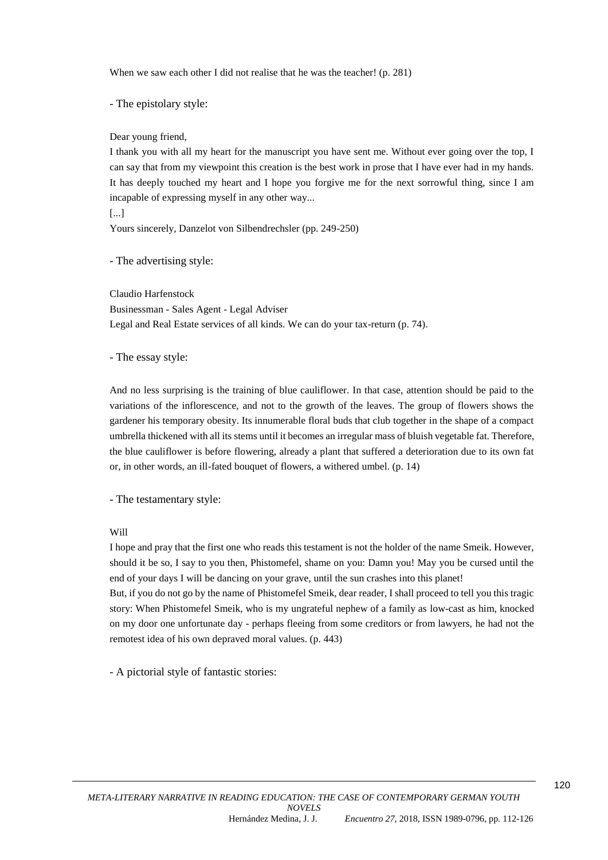When we saw each other I did not realise that he was the teacher! (p. 281)

- The epistolary style:

Dear young friend,

I thank you with all my heart for the manuscript you have sent me. Without ever going over the top, I can say that from my viewpoint this creation is the best work in prose that I have ever had in my hands. It has deeply touched my heart and I hope you forgive me for the next sorrowful thing, since I am incapable of expressing myself in any other way...

[...]

Yours sincerely, Danzelot von Silbendrechsler (pp. 249-250)

- The advertising style:

Claudio Harfenstock Businessman - Sales Agent - Legal Adviser Legal and Real Estate services of all kinds. We can do your tax-return (p. 74).

- The essay style:

And no less surprising is the training of blue cauliflower. In that case, attention should be paid to the variations of the inflorescence, and not to the growth of the leaves. The group of flowers shows the gardener his temporary obesity. Its innumerable floral buds that club together in the shape of a compact umbrella thickened with all its stems until it becomes an irregular mass of bluish vegetable fat. Therefore, the blue cauliflower is before flowering, already a plant that suffered a deterioration due to its own fat or, in other words, an ill-fated bouquet of flowers, a withered umbel. (p. 14)

- The testamentary style:

Will

I hope and pray that the first one who reads this testament is not the holder of the name Smeik. However, should it be so, I say to you then, Phistomefel, shame on you: Damn you! May you be cursed until the end of your days I will be dancing on your grave, until the sun crashes into this planet!

But, if you do not go by the name of Phistomefel Smeik, dear reader, I shall proceed to tell you this tragic story: When Phistomefel Smeik, who is my ungrateful nephew of a family as low-cast as him, knocked on my door one unfortunate day - perhaps fleeing from some creditors or from lawyers, he had not the remotest idea of his own depraved moral values. (p. 443)

- A pictorial style of fantastic stories:

120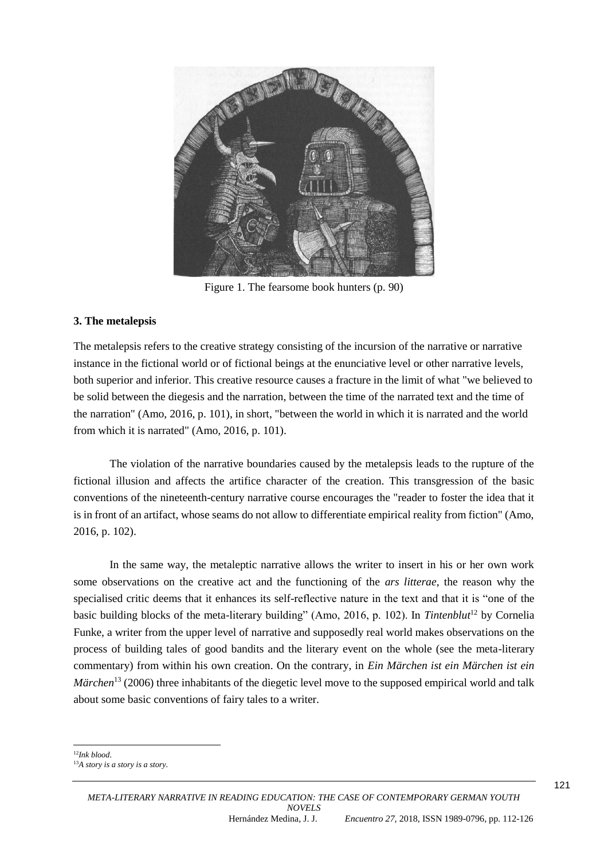

Figure 1. The fearsome book hunters (p. 90)

# **3. The metalepsis**

The metalepsis refers to the creative strategy consisting of the incursion of the narrative or narrative instance in the fictional world or of fictional beings at the enunciative level or other narrative levels, both superior and inferior. This creative resource causes a fracture in the limit of what "we believed to be solid between the diegesis and the narration, between the time of the narrated text and the time of the narration" (Amo, 2016, p. 101), in short, "between the world in which it is narrated and the world from which it is narrated" (Amo, 2016, p. 101).

The violation of the narrative boundaries caused by the metalepsis leads to the rupture of the fictional illusion and affects the artifice character of the creation. This transgression of the basic conventions of the nineteenth-century narrative course encourages the "reader to foster the idea that it is in front of an artifact, whose seams do not allow to differentiate empirical reality from fiction" (Amo, 2016, p. 102).

In the same way, the metaleptic narrative allows the writer to insert in his or her own work some observations on the creative act and the functioning of the *ars litterae*, the reason why the specialised critic deems that it enhances its self-reflective nature in the text and that it is "one of the basic building blocks of the meta-literary building" (Amo, 2016, p. 102). In *Tintenblut*<sup>12</sup> by Cornelia Funke, a writer from the upper level of narrative and supposedly real world makes observations on the process of building tales of good bandits and the literary event on the whole (see the meta-literary commentary) from within his own creation. On the contrary, in *Ein Märchen ist ein Märchen ist ein Märchen*<sup>13</sup> (2006) three inhabitants of the diegetic level move to the supposed empirical world and talk about some basic conventions of fairy tales to a writer.

1 <sup>12</sup>*Ink blood*.

<sup>13</sup>*A story is a story is a story.*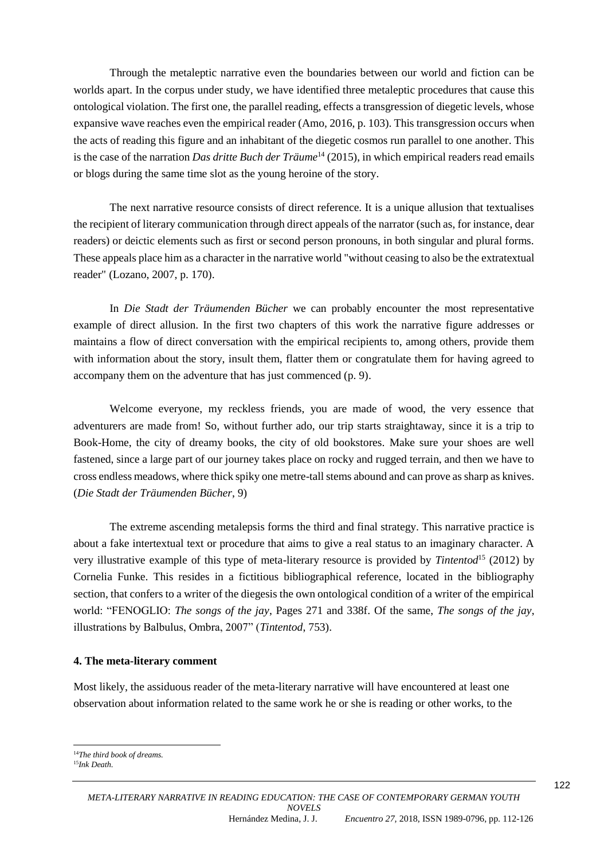Through the metaleptic narrative even the boundaries between our world and fiction can be worlds apart. In the corpus under study, we have identified three metaleptic procedures that cause this ontological violation. The first one, the parallel reading, effects a transgression of diegetic levels, whose expansive wave reaches even the empirical reader (Amo, 2016, p. 103). This transgression occurs when the acts of reading this figure and an inhabitant of the diegetic cosmos run parallel to one another. This is the case of the narration *Das dritte Buch der Träume*<sup>14</sup> (2015), in which empirical readers read emails or blogs during the same time slot as the young heroine of the story.

The next narrative resource consists of direct reference. It is a unique allusion that textualises the recipient of literary communication through direct appeals of the narrator (such as, for instance, dear readers) or deictic elements such as first or second person pronouns, in both singular and plural forms. These appeals place him as a character in the narrative world "without ceasing to also be the extratextual reader" (Lozano, 2007, p. 170).

In *Die Stadt der Träumenden Bücher* we can probably encounter the most representative example of direct allusion. In the first two chapters of this work the narrative figure addresses or maintains a flow of direct conversation with the empirical recipients to, among others, provide them with information about the story, insult them, flatter them or congratulate them for having agreed to accompany them on the adventure that has just commenced (p. 9).

Welcome everyone, my reckless friends, you are made of wood, the very essence that adventurers are made from! So, without further ado, our trip starts straightaway, since it is a trip to Book-Home, the city of dreamy books, the city of old bookstores. Make sure your shoes are well fastened, since a large part of our journey takes place on rocky and rugged terrain, and then we have to cross endless meadows, where thick spiky one metre-tall stems abound and can prove as sharp as knives. (*Die Stadt der Träumenden Bücher*, 9)

The extreme ascending metalepsis forms the third and final strategy. This narrative practice is about a fake intertextual text or procedure that aims to give a real status to an imaginary character. A very illustrative example of this type of meta-literary resource is provided by *Tintentod*<sup>15</sup> (2012) by Cornelia Funke. This resides in a fictitious bibliographical reference, located in the bibliography section, that confers to a writer of the diegesis the own ontological condition of a writer of the empirical world: "FENOGLIO: *The songs of the jay*, Pages 271 and 338f. Of the same, *The songs of the jay*, illustrations by Balbulus, Ombra, 2007" (*Tintentod*, 753).

### **4. The meta-literary comment**

Most likely, the assiduous reader of the meta-literary narrative will have encountered at least one observation about information related to the same work he or she is reading or other works, to the

1

<sup>14</sup>*The third book of dreams.*

<sup>15</sup>*Ink Death*.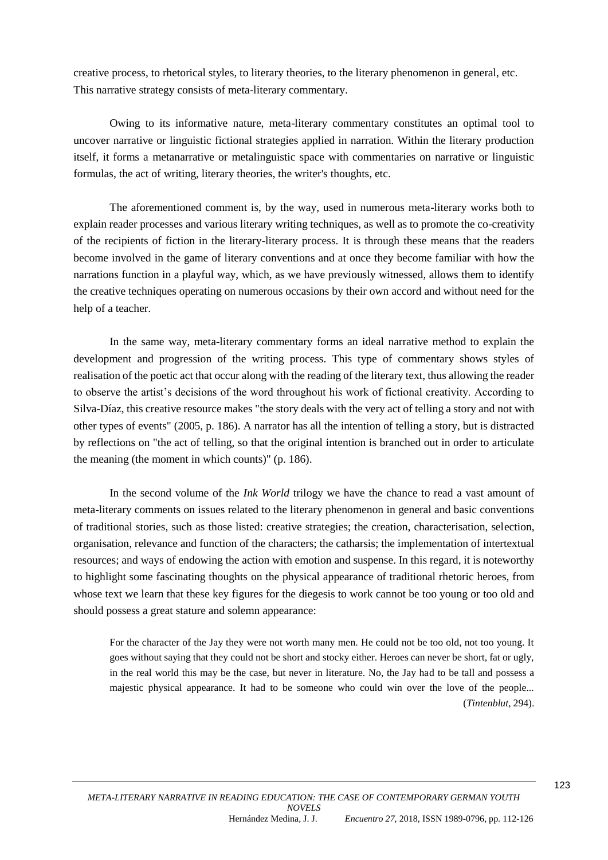creative process, to rhetorical styles, to literary theories, to the literary phenomenon in general, etc. This narrative strategy consists of meta-literary commentary.

Owing to its informative nature, meta-literary commentary constitutes an optimal tool to uncover narrative or linguistic fictional strategies applied in narration. Within the literary production itself, it forms a metanarrative or metalinguistic space with commentaries on narrative or linguistic formulas, the act of writing, literary theories, the writer's thoughts, etc.

The aforementioned comment is, by the way, used in numerous meta-literary works both to explain reader processes and various literary writing techniques, as well as to promote the co-creativity of the recipients of fiction in the literary-literary process. It is through these means that the readers become involved in the game of literary conventions and at once they become familiar with how the narrations function in a playful way, which, as we have previously witnessed, allows them to identify the creative techniques operating on numerous occasions by their own accord and without need for the help of a teacher.

In the same way, meta-literary commentary forms an ideal narrative method to explain the development and progression of the writing process. This type of commentary shows styles of realisation of the poetic act that occur along with the reading of the literary text, thus allowing the reader to observe the artist's decisions of the word throughout his work of fictional creativity. According to Silva-Díaz, this creative resource makes "the story deals with the very act of telling a story and not with other types of events" (2005, p. 186). A narrator has all the intention of telling a story, but is distracted by reflections on "the act of telling, so that the original intention is branched out in order to articulate the meaning (the moment in which counts)" (p. 186).

In the second volume of the *Ink World* trilogy we have the chance to read a vast amount of meta-literary comments on issues related to the literary phenomenon in general and basic conventions of traditional stories, such as those listed: creative strategies; the creation, characterisation, selection, organisation, relevance and function of the characters; the catharsis; the implementation of intertextual resources; and ways of endowing the action with emotion and suspense. In this regard, it is noteworthy to highlight some fascinating thoughts on the physical appearance of traditional rhetoric heroes, from whose text we learn that these key figures for the diegesis to work cannot be too young or too old and should possess a great stature and solemn appearance:

For the character of the Jay they were not worth many men. He could not be too old, not too young. It goes without saying that they could not be short and stocky either. Heroes can never be short, fat or ugly, in the real world this may be the case, but never in literature. No, the Jay had to be tall and possess a majestic physical appearance. It had to be someone who could win over the love of the people... (*Tintenblut*, 294).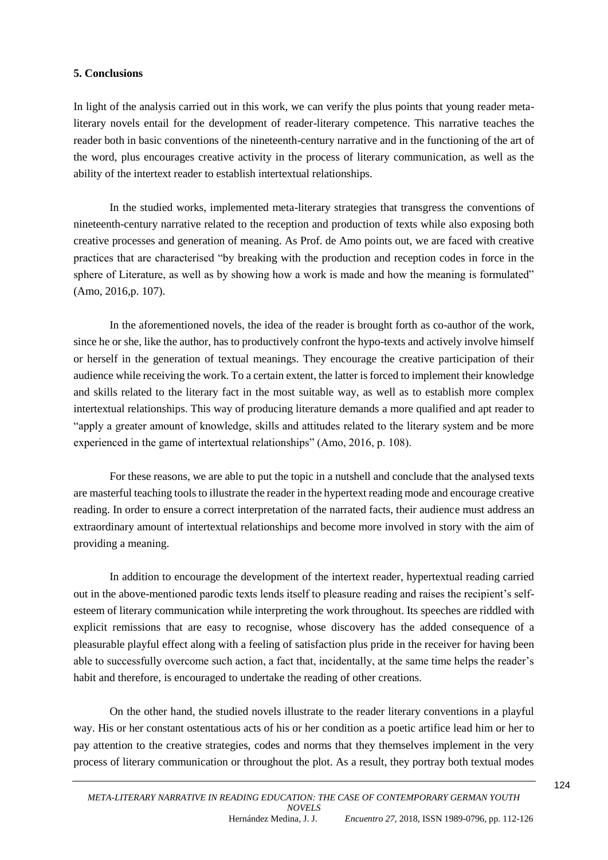# **5. Conclusions**

In light of the analysis carried out in this work, we can verify the plus points that young reader metaliterary novels entail for the development of reader-literary competence. This narrative teaches the reader both in basic conventions of the nineteenth-century narrative and in the functioning of the art of the word, plus encourages creative activity in the process of literary communication, as well as the ability of the intertext reader to establish intertextual relationships.

In the studied works, implemented meta-literary strategies that transgress the conventions of nineteenth-century narrative related to the reception and production of texts while also exposing both creative processes and generation of meaning. As Prof. de Amo points out, we are faced with creative practices that are characterised "by breaking with the production and reception codes in force in the sphere of Literature, as well as by showing how a work is made and how the meaning is formulated" (Amo, 2016,p. 107).

In the aforementioned novels, the idea of the reader is brought forth as co-author of the work, since he or she, like the author, has to productively confront the hypo-texts and actively involve himself or herself in the generation of textual meanings. They encourage the creative participation of their audience while receiving the work. To a certain extent, the latter is forced to implement their knowledge and skills related to the literary fact in the most suitable way, as well as to establish more complex intertextual relationships. This way of producing literature demands a more qualified and apt reader to "apply a greater amount of knowledge, skills and attitudes related to the literary system and be more experienced in the game of intertextual relationships" (Amo, 2016, p. 108).

For these reasons, we are able to put the topic in a nutshell and conclude that the analysed texts are masterful teaching tools to illustrate the reader in the hypertext reading mode and encourage creative reading. In order to ensure a correct interpretation of the narrated facts, their audience must address an extraordinary amount of intertextual relationships and become more involved in story with the aim of providing a meaning.

In addition to encourage the development of the intertext reader, hypertextual reading carried out in the above-mentioned parodic texts lends itself to pleasure reading and raises the recipient's selfesteem of literary communication while interpreting the work throughout. Its speeches are riddled with explicit remissions that are easy to recognise, whose discovery has the added consequence of a pleasurable playful effect along with a feeling of satisfaction plus pride in the receiver for having been able to successfully overcome such action, a fact that, incidentally, at the same time helps the reader's habit and therefore, is encouraged to undertake the reading of other creations.

On the other hand, the studied novels illustrate to the reader literary conventions in a playful way. His or her constant ostentatious acts of his or her condition as a poetic artifice lead him or her to pay attention to the creative strategies, codes and norms that they themselves implement in the very process of literary communication or throughout the plot. As a result, they portray both textual modes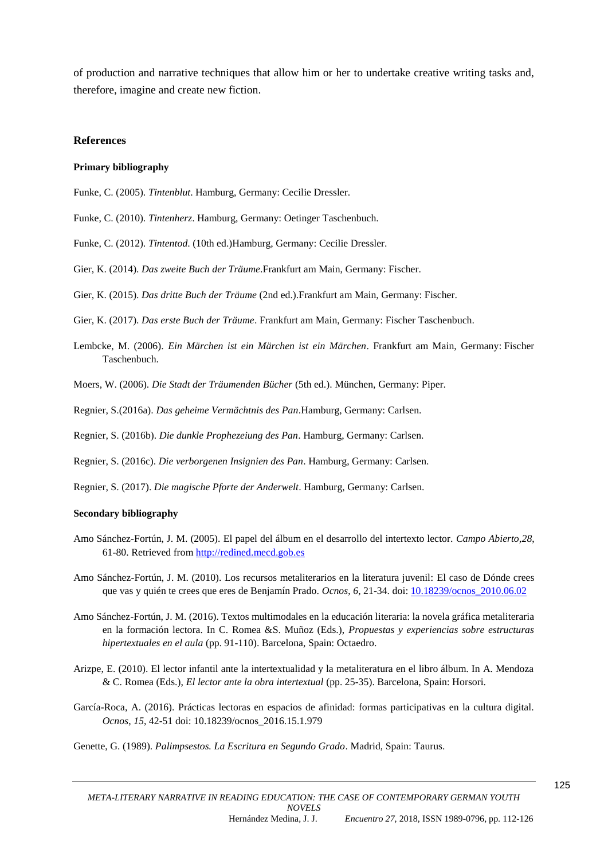of production and narrative techniques that allow him or her to undertake creative writing tasks and, therefore, imagine and create new fiction.

#### **References**

#### **Primary bibliography**

- Funke, C. (2005). *Tintenblut*. Hamburg, Germany: Cecilie Dressler.
- Funke, C. (2010). *Tintenherz*. Hamburg, Germany: Oetinger Taschenbuch.
- Funke, C. (2012). *Tintentod*. (10th ed.)Hamburg, Germany: Cecilie Dressler.
- Gier, K. (2014). *Das zweite Buch der Träume*.Frankfurt am Main, Germany: Fischer.
- Gier, K. (2015). *Das dritte Buch der Träume* (2nd ed.).Frankfurt am Main, Germany: Fischer.
- Gier, K. (2017). *Das erste Buch der Träume*. Frankfurt am Main, Germany: Fischer Taschenbuch.
- Lembcke, M. (2006). *Ein Märchen ist ein Märchen ist ein Märchen*. Frankfurt am Main, Germany: Fischer Taschenbuch.
- Moers, W. (2006). *Die Stadt der Träumenden Bücher* (5th ed.). München, Germany: Piper.
- Regnier, S.(2016a). *Das geheime Vermächtnis des Pan*.Hamburg, Germany: Carlsen.

Regnier, S. (2016b). *Die dunkle Prophezeiung des Pan*. Hamburg, Germany: Carlsen.

Regnier, S. (2016c). *Die verborgenen Insignien des Pan*. Hamburg, Germany: Carlsen.

Regnier, S. (2017). *Die magische Pforte der Anderwelt*. Hamburg, Germany: Carlsen.

#### **Secondary bibliography**

- Amo Sánchez-Fortún, J. M. (2005). El papel del álbum en el desarrollo del intertexto lector. *Campo Abierto,28*, 61-80. Retrieved from [http://redined.mecd.gob.es](http://redined.mecd.gob.es/)
- Amo Sánchez-Fortún, J. M. (2010). Los recursos metaliterarios en la literatura juvenil: El caso de Dónde crees que vas y quién te crees que eres de Benjamín Prado. *Ocnos*, *6*, 21-34. doi: [10.18239/ocnos\\_2010.06.02](http://dx.doi.org/10.18239/ocnos_2010.06.02)
- Amo Sánchez-Fortún, J. M. (2016). Textos multimodales en la educación literaria: la novela gráfica metaliteraria en la formación lectora. In C. Romea &S. Muñoz (Eds.), *Propuestas y experiencias sobre estructuras hipertextuales en el aula* (pp. 91-110). Barcelona, Spain: Octaedro.
- Arizpe, E. (2010). El lector infantil ante la intertextualidad y la metaliteratura en el libro álbum. In A. Mendoza & C. Romea (Eds.), *El lector ante la obra intertextual* (pp. 25-35). Barcelona, Spain: Horsori.
- García-Roca, A. (2016). Prácticas lectoras en espacios de afinidad: formas participativas en la cultura digital. *Ocnos*, *15*, 42-51 doi: 10.18239/ocnos\_2016.15.1.979
- Genette, G. (1989). *Palimpsestos. La Escritura en Segundo Grado*. Madrid, Spain: Taurus.